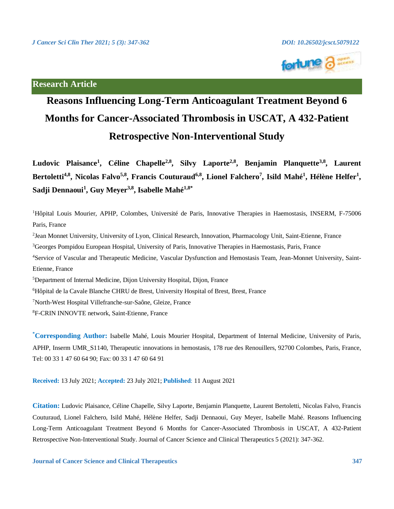

# **Research Article**

# **Reasons Influencing Long-Term Anticoagulant Treatment Beyond 6 Months for Cancer-Associated Thrombosis in USCAT, A 432-Patient Retrospective Non-Interventional Study**

**Ludovic Plaisance<sup>1</sup> , Céline Chapelle2,8 , Silvy Laporte2,8 , Benjamin Planquette3,8 , Laurent Bertoletti4,8 , Nicolas Falvo5,8 , Francis Couturaud6,8 , Lionel Falchero<sup>7</sup> , Isild Mahé<sup>1</sup> , Hélène Helfer<sup>1</sup> , Sadji Dennaoui<sup>1</sup> , Guy Meyer3,8 , Isabelle Mahé1,8\***

<sup>1</sup>Hôpital Louis Mourier, APHP, Colombes, Université de Paris, Innovative Therapies in Haemostasis, INSERM, F-75006 Paris, France <sup>2</sup> Jean Monnet University, University of Lyon, Clinical Research, Innovation, Pharmacology Unit, Saint-Etienne, France <sup>3</sup>Georges Pompidou European Hospital, University of Paris, Innovative Therapies in Haemostasis, Paris, France 4Service of Vascular and Therapeutic Medicine, Vascular Dysfunction and Hemostasis Team, Jean-Monnet University, Saint-Etienne, France <sup>5</sup>Department of Internal Medicine, Dijon University Hospital, Dijon, France <sup>6</sup>Hôpital de la Cavale Blanche CHRU de Brest, University Hospital of Brest, Brest, France <sup>7</sup>North-West Hospital Villefranche-sur-Saône, Gleize, France

<sup>8</sup>F-CRIN INNOVTE network, Saint-Etienne, France

**\*Corresponding Author:** Isabelle Mahé, Louis Mourier Hospital, Department of Internal Medicine, University of Paris, APHP, Inserm UMR\_S1140, Therapeutic innovations in hemostasis, 178 rue des Renouillers, 92700 Colombes, Paris, France, Tel: 00 33 1 47 60 64 90; Fax: 00 33 1 47 60 64 91

**Received:** 13 July 2021; **Accepted:** 23 July 2021; **Published**: 11 August 2021

**Citation:** Ludovic Plaisance, Céline Chapelle, Silvy Laporte, Benjamin Planquette, Laurent Bertoletti, Nicolas Falvo, Francis Couturaud, Lionel Falchero, Isild Mahé, Hélène Helfer, Sadji Dennaoui, Guy Meyer, Isabelle Mahé. Reasons Influencing Long-Term Anticoagulant Treatment Beyond 6 Months for Cancer-Associated Thrombosis in USCAT, A 432-Patient Retrospective Non-Interventional Study. Journal of Cancer Science and Clinical Therapeutics 5 (2021): 347-362.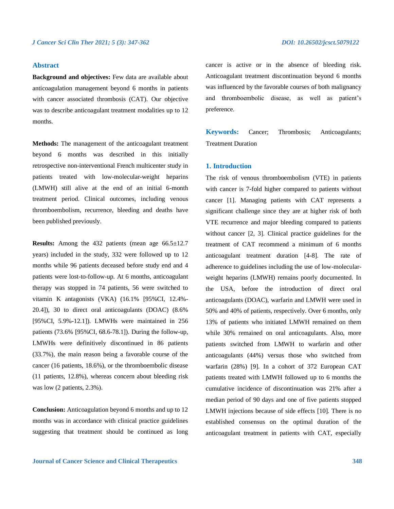# **Abstract**

**Background and objectives:** Few data are available about anticoagulation management beyond 6 months in patients with cancer associated thrombosis (CAT). Our objective was to describe anticoagulant treatment modalities up to 12 months.

**Methods:** The management of the anticoagulant treatment beyond 6 months was described in this initially retrospective non-interventional French multicenter study in patients treated with low-molecular-weight heparins (LMWH) still alive at the end of an initial 6-month treatment period. Clinical outcomes, including venous thromboembolism, recurrence, bleeding and deaths have been published previously.

**Results:** Among the 432 patients (mean age 66.5±12.7 years) included in the study, 332 were followed up to 12 months while 96 patients deceased before study end and 4 patients were lost-to-follow-up. At 6 months, anticoagulant therapy was stopped in 74 patients, 56 were switched to vitamin K antagonists (VKA) (16.1% [95%CI, 12.4%- 20.4]), 30 to direct oral anticoagulants (DOAC) (8.6% [95%CI, 5.9%-12.1]). LMWHs were maintained in 256 patients (73.6% [95%CI, 68.6-78.1]). During the follow-up, LMWHs were definitively discontinued in 86 patients (33.7%), the main reason being a favorable course of the cancer (16 patients, 18.6%), or the thromboembolic disease (11 patients, 12.8%), whereas concern about bleeding risk was low (2 patients, 2.3%).

**Conclusion:** Anticoagulation beyond 6 months and up to 12 months was in accordance with clinical practice guidelines suggesting that treatment should be continued as long cancer is active or in the absence of bleeding risk. Anticoagulant treatment discontinuation beyond 6 months was influenced by the favorable courses of both malignancy and thromboembolic disease, as well as patient's preference.

**Keywords:** Cancer; Thrombosis; Anticoagulants; Treatment Duration

# **1. Introduction**

The risk of venous thromboembolism (VTE) in patients with cancer is 7-fold higher compared to patients without cancer [1]. Managing patients with CAT represents a significant challenge since they are at higher risk of both VTE recurrence and major bleeding compared to patients without cancer [2, 3]. Clinical practice guidelines for the treatment of CAT recommend a minimum of 6 months anticoagulant treatment duration [4-8]. The rate of adherence to guidelines including the use of low-molecularweight heparins (LMWH) remains poorly documented. In the USA, before the introduction of direct oral anticoagulants (DOAC), warfarin and LMWH were used in 50% and 40% of patients, respectively. Over 6 months, only 13% of patients who initiated LMWH remained on them while 30% remained on oral anticoagulants. Also, more patients switched from LMWH to warfarin and other anticoagulants (44%) versus those who switched from warfarin (28%) [9]. In a cohort of 372 European CAT patients treated with LMWH followed up to 6 months the cumulative incidence of discontinuation was 21% after a median period of 90 days and one of five patients stopped LMWH injections because of side effects [10]. There is no established consensus on the optimal duration of the anticoagulant treatment in patients with CAT, especially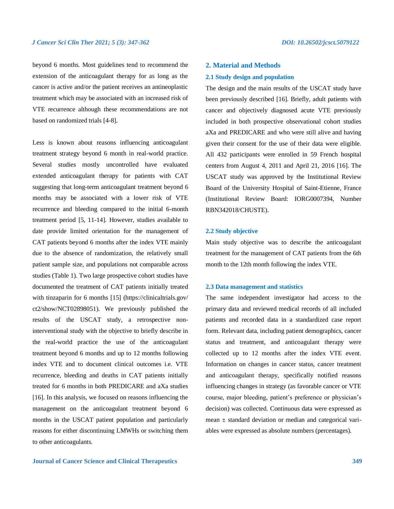beyond 6 months. Most guidelines tend to recommend the extension of the anticoagulant therapy for as long as the cancer is active and/or the patient receives an antineoplastic treatment which may be associated with an increased risk of VTE recurrence although these recommendations are not based on randomized trials [4-8].

Less is known about reasons influencing anticoagulant treatment strategy beyond 6 month in real-world practice. Several studies mostly uncontrolled have evaluated extended anticoagulant therapy for patients with CAT suggesting that long-term anticoagulant treatment beyond 6 months may be associated with a lower risk of VTE recurrence and bleeding compared to the initial 6-month treatment period [5, 11-14]. However, studies available to date provide limited orientation for the management of CAT patients beyond 6 months after the index VTE mainly due to the absence of randomization, the relatively small patient sample size, and populations not comparable across studies (Table 1). Two large prospective cohort studies have documented the treatment of CAT patients initially treated with tinzaparin for 6 months [15] (https://clinicaltrials.gov/ ct2/show/NCT02898051). We previously published the results of the USCAT study, a retrospective noninterventional study with the objective to briefly describe in the real-world practice the use of the anticoagulant treatment beyond 6 months and up to 12 months following index VTE and to document clinical outcomes i.e. VTE recurrence, bleeding and deaths in CAT patients initially treated for 6 months in both PREDICARE and aXa studies [16]. In this analysis, we focused on reasons influencing the management on the anticoagulant treatment beyond 6 months in the USCAT patient population and particularly reasons for either discontinuing LMWHs or switching them to other anticoagulants.

# **2. Material and Methods**

### **2.1 Study design and population**

The design and the main results of the USCAT study have been previously described [16]. Briefly, adult patients with cancer and objectively diagnosed acute VTE previously included in both prospective observational cohort studies aXa and PREDICARE and who were still alive and having given their consent for the use of their data were eligible. All 432 participants were enrolled in 59 French hospital centers from August 4, 2011 and April 21, 2016 [16]. The USCAT study was approved by the Institutional Review Board of the University Hospital of Saint-Etienne, France (Institutional Review Board: IORG0007394, Number RBN342018/CHUSTE).

### **2.2 Study objective**

Main study objective was to describe the anticoagulant treatment for the management of CAT patients from the 6th month to the 12th month following the index VTE.

### **2.3 Data management and statistics**

The same independent investigator had access to the primary data and reviewed medical records of all included patients and recorded data in a standardized case report form. Relevant data, including patient demographics, cancer status and treatment, and anticoagulant therapy were collected up to 12 months after the index VTE event. Information on changes in cancer status, cancer treatment and anticoagulant therapy, specifically notified reasons influencing changes in strategy (as favorable cancer or VTE course, major bleeding, patient's preference or physician's decision) was collected. Continuous data were expressed as mean  $\pm$  standard deviation or median and categorical variables were expressed as absolute numbers (percentages).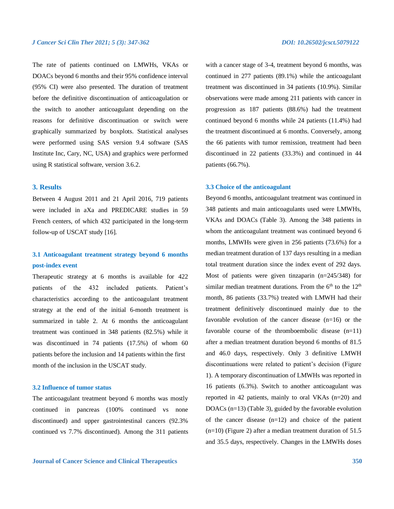The rate of patients continued on LMWHs, VKAs or DOACs beyond 6 months and their 95% confidence interval (95% CI) were also presented. The duration of treatment before the definitive discontinuation of anticoagulation or the switch to another anticoagulant depending on the reasons for definitive discontinuation or switch were graphically summarized by boxplots. Statistical analyses were performed using SAS version 9.4 software (SAS Institute Inc, Cary, NC, USA) and graphics were performed using R statistical software, version 3.6.2.

# **3. Results**

Between 4 August 2011 and 21 April 2016, 719 patients were included in aXa and PREDICARE studies in 59 French centers, of which 432 participated in the long-term follow-up of USCAT study [16].

# **3.1 Anticoagulant treatment strategy beyond 6 months post-index event**

Therapeutic strategy at 6 months is available for 422 patients of the 432 included patients. Patient's characteristics according to the anticoagulant treatment strategy at the end of the initial 6-month treatment is summarized in table 2. At 6 months the anticoagulant treatment was continued in 348 patients (82.5%) while it was discontinued in 74 patients (17.5%) of whom 60 patients before the inclusion and 14 patients within the first month of the inclusion in the USCAT study.

# **3.2 Influence of tumor status**

The anticoagulant treatment beyond 6 months was mostly continued in pancreas (100% continued vs none discontinued) and upper gastrointestinal cancers (92.3% continued vs 7.7% discontinued). Among the 311 patients with a cancer stage of 3-4, treatment beyond 6 months, was continued in 277 patients (89.1%) while the anticoagulant treatment was discontinued in 34 patients (10.9%). Similar observations were made among 211 patients with cancer in progression as 187 patients (88.6%) had the treatment continued beyond 6 months while 24 patients (11.4%) had the treatment discontinued at 6 months. Conversely, among the 66 patients with tumor remission, treatment had been discontinued in 22 patients (33.3%) and continued in 44 patients (66.7%).

# **3.3 Choice of the anticoagulant**

Beyond 6 months, anticoagulant treatment was continued in 348 patients and main anticoagulants used were LMWHs, VKAs and DOACs (Table 3). Among the 348 patients in whom the anticoagulant treatment was continued beyond 6 months, LMWHs were given in 256 patients (73.6%) for a median treatment duration of 137 days resulting in a median total treatment duration since the index event of 292 days. Most of patients were given tinzaparin (n=245/348) for similar median treatment durations. From the  $6<sup>th</sup>$  to the  $12<sup>th</sup>$ month, 86 patients (33.7%) treated with LMWH had their treatment definitively discontinued mainly due to the favorable evolution of the cancer disease (n=16) or the favorable course of the thromboembolic disease (n=11) after a median treatment duration beyond 6 months of 81.5 and 46.0 days, respectively. Only 3 definitive LMWH discontinuations were related to patient's decision (Figure 1). A temporary discontinuation of LMWHs was reported in 16 patients (6.3%). Switch to another anticoagulant was reported in 42 patients, mainly to oral VKAs (n=20) and DOACs (n=13) (Table 3), guided by the favorable evolution of the cancer disease (n=12) and choice of the patient (n=10) (Figure 2) after a median treatment duration of 51.5 and 35.5 days, respectively. Changes in the LMWHs doses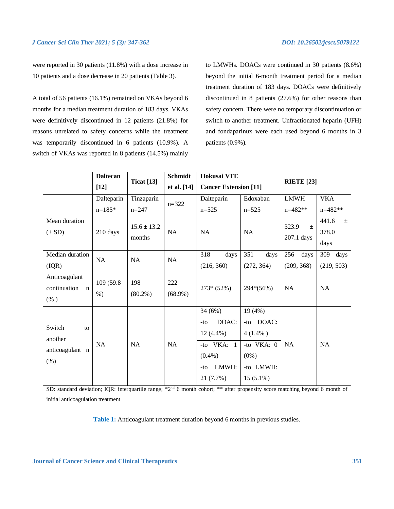were reported in 30 patients (11.8%) with a dose increase in 10 patients and a dose decrease in 20 patients (Table 3).

A total of 56 patients (16.1%) remained on VKAs beyond 6 months for a median treatment duration of 183 days. VKAs were definitively discontinued in 12 patients (21.8%) for reasons unrelated to safety concerns while the treatment was temporarily discontinued in 6 patients (10.9%). A switch of VKAs was reported in 8 patients (14.5%) mainly

to LMWHs. DOACs were continued in 30 patients (8.6%) beyond the initial 6-month treatment period for a median treatment duration of 183 days. DOACs were definitively discontinued in 8 patients (27.6%) for other reasons than safety concern. There were no temporary discontinuation or switch to another treatment. Unfractionated heparin (UFH) and fondaparinux were each used beyond 6 months in 3 patients (0.9%).

|                                                         | <b>Daltecan</b>     | <b>Ticat</b> [13]         | Schmidt           | Hokusai VTE<br><b>Cancer Extension [11]</b>                                                        |                                                                                          | <b>RIETE</b> [23]            |                                 |
|---------------------------------------------------------|---------------------|---------------------------|-------------------|----------------------------------------------------------------------------------------------------|------------------------------------------------------------------------------------------|------------------------------|---------------------------------|
|                                                         | $[12]$              |                           | et al. [14]       |                                                                                                    |                                                                                          |                              |                                 |
|                                                         | Dalteparin          | Tinzaparin                | $n = 322$         | Dalteparin                                                                                         | Edoxaban                                                                                 | <b>LMWH</b>                  | <b>VKA</b>                      |
|                                                         | $n=185*$            | $n = 247$                 |                   | $n=525$                                                                                            | $n=525$                                                                                  | $n=482**$                    | $n=482**$                       |
| Mean duration<br>$(\pm SD)$                             | 210 days            | $15.6 \pm 13.2$<br>months | NA                | NA                                                                                                 | NA                                                                                       | 323.9<br>$\pm$<br>207.1 days | 441.6<br>$\pm$<br>378.0<br>days |
| Median duration<br>(IQR)                                | NA                  | <b>NA</b>                 | NA                | 318<br>days<br>(216, 360)                                                                          | 351<br>days<br>(272, 364)                                                                | 256<br>days<br>(209, 368)    | 309<br>days<br>(219, 503)       |
| Anticoagulant<br>continuation<br>$\mathbf n$<br>$(\% )$ | 109 (59.8)<br>$%$ ) | 198<br>$(80.2\%)$         | 222<br>$(68.9\%)$ | $273*(52%)$                                                                                        | 294*(56%)                                                                                | <b>NA</b>                    | NA                              |
| Switch<br>to<br>another<br>anticoagulant n<br>$(\% )$   | <b>NA</b>           | NA                        | NA                | 34(6%)<br>DOAC:<br>$-tO$<br>$12(4.4\%)$<br>-to $VKA: 1$<br>$(0.4\%)$<br>LMWH:<br>$-tO$<br>21(7.7%) | 19(4%)<br>-to DOAC:<br>$4(1.4\%)$<br>-to $VKA: 0$<br>$(0\%)$<br>-to LMWH:<br>$15(5.1\%)$ | <b>NA</b>                    | <b>NA</b>                       |

SD: standard deviation; IQR: interquartile range; \*2<sup>nd</sup> 6 month cohort; \*\* after propensity score matching beyond 6 month of initial anticoagulation treatment

**Table 1:** Anticoagulant treatment duration beyond 6 months in previous studies.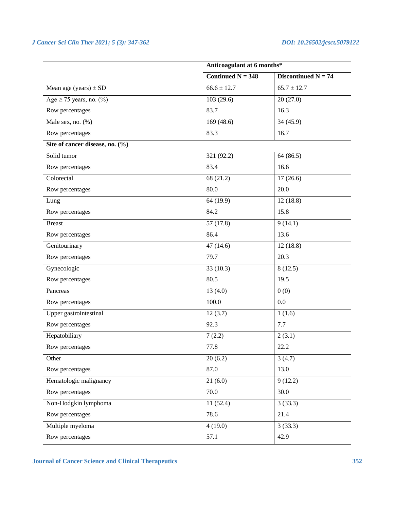|                                 | Anticoagulant at 6 months* |                       |  |
|---------------------------------|----------------------------|-----------------------|--|
|                                 | Continued $N = 348$        | Discontinued $N = 74$ |  |
| Mean age (years) $\pm$ SD       | $66.6 \pm 12.7$            | $65.7 \pm 12.7$       |  |
| Age $\geq$ 75 years, no. (%)    | 103(29.6)                  | 20(27.0)              |  |
| Row percentages                 | 83.7                       | 16.3                  |  |
| Male sex, no. (%)               | 169(48.6)                  | 34 (45.9)             |  |
| Row percentages                 | 83.3                       | 16.7                  |  |
| Site of cancer disease, no. (%) |                            |                       |  |
| Solid tumor                     | 321 (92.2)                 | 64(86.5)              |  |
| Row percentages                 | 83.4                       | 16.6                  |  |
| Colorectal                      | 68 (21.2)                  | 17(26.6)              |  |
| Row percentages                 | 80.0                       | 20.0                  |  |
| Lung                            | 64 (19.9)                  | 12(18.8)              |  |
| Row percentages                 | 84.2                       | 15.8                  |  |
| <b>Breast</b>                   | 57(17.8)                   | 9(14.1)               |  |
| Row percentages                 | 86.4                       | 13.6                  |  |
| Genitourinary                   | 47(14.6)                   | 12(18.8)              |  |
| Row percentages                 | 79.7                       | 20.3                  |  |
| Gynecologic                     | 33(10.3)                   | 8(12.5)               |  |
| Row percentages                 | 80.5                       | 19.5                  |  |
| Pancreas                        | 13(4.0)                    | 0(0)                  |  |
| Row percentages                 | 100.0                      | 0.0                   |  |
| Upper gastrointestinal          | 12(3.7)                    | 1(1.6)                |  |
| Row percentages                 | 92.3                       | 7.7                   |  |
| Hepatobiliary                   | 7(2.2)                     | 2(3.1)                |  |
| Row percentages                 | 77.8                       | 22.2                  |  |
| Other                           | 20(6.2)                    | 3(4.7)                |  |
| Row percentages                 | 87.0                       | 13.0                  |  |
| Hematologic malignancy          | 21(6.0)                    | 9(12.2)               |  |
| Row percentages                 | 70.0                       | 30.0                  |  |
| Non-Hodgkin lymphoma            | 11(52.4)                   | 3(33.3)               |  |
| Row percentages                 | 78.6                       | 21.4                  |  |
| Multiple myeloma                | 4(19.0)                    | 3(33.3)               |  |
| Row percentages                 | 57.1                       | 42.9                  |  |

**Journal of Cancer Science and Clinical Therapeutics 352**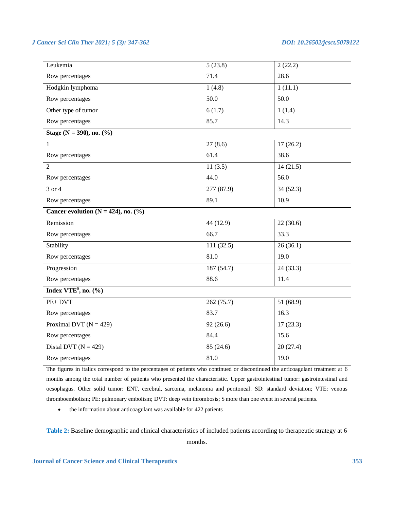| Leukemia                                | 5(23.8)    | 2(22.2)   |  |  |
|-----------------------------------------|------------|-----------|--|--|
| Row percentages                         | 71.4       | 28.6      |  |  |
| Hodgkin lymphoma                        | 1(4.8)     | 1(11.1)   |  |  |
| Row percentages                         | 50.0       | 50.0      |  |  |
| Other type of tumor                     | 6(1.7)     | 1(1.4)    |  |  |
| Row percentages                         | 85.7       | 14.3      |  |  |
| Stage ( $N = 390$ ), no. $(\% )$        |            |           |  |  |
| 1                                       | 27(8.6)    | 17(26.2)  |  |  |
| Row percentages                         | 61.4       | 38.6      |  |  |
| $\overline{2}$                          | 11(3.5)    | 14(21.5)  |  |  |
| Row percentages                         | 44.0       | 56.0      |  |  |
| $3$ or $4$                              | 277(87.9)  | 34(52.3)  |  |  |
| Row percentages                         | 89.1       | 10.9      |  |  |
| Cancer evolution ( $N = 424$ ), no. (%) |            |           |  |  |
| Remission                               | 44 (12.9)  | 22(30.6)  |  |  |
| Row percentages                         | 66.7       | 33.3      |  |  |
| Stability                               | 111(32.5)  | 26(36.1)  |  |  |
| Row percentages                         | 81.0       | 19.0      |  |  |
| Progression                             | 187 (54.7) | 24(33.3)  |  |  |
| Row percentages                         | 88.6       | 11.4      |  |  |
| Index VTE <sup>§</sup> , no. $(\%$      |            |           |  |  |
| $PE\pm DVT$                             | 262 (75.7) | 51 (68.9) |  |  |
| Row percentages                         | 83.7       | 16.3      |  |  |
| Proximal DVT ( $N = 429$ )              | 92(26.6)   | 17(23.3)  |  |  |
| Row percentages                         | 84.4       | 15.6      |  |  |
| Distal DVT ( $N = 429$ )                | 85(24.6)   | 20(27.4)  |  |  |
| Row percentages                         | 81.0       | 19.0      |  |  |
|                                         |            |           |  |  |

The figures in italics correspond to the percentages of patients who continued or discontinued the anticoagulant treatment at 6 months among the total number of patients who presented the characteristic. Upper gastrointestinal tumor: gastrointestinal and oesophagus. Other solid tumor: ENT, cerebral, sarcoma, melanoma and peritoneal. SD: standard deviation; VTE: venous thromboembolism; PE: pulmonary embolism; DVT: deep vein thrombosis; \$ more than one event in several patients.

• the information about anticoagulant was available for 422 patients

**Table 2:** Baseline demographic and clinical characteristics of included patients according to therapeutic strategy at 6 months.

**Journal of Cancer Science and Clinical Therapeutics 353**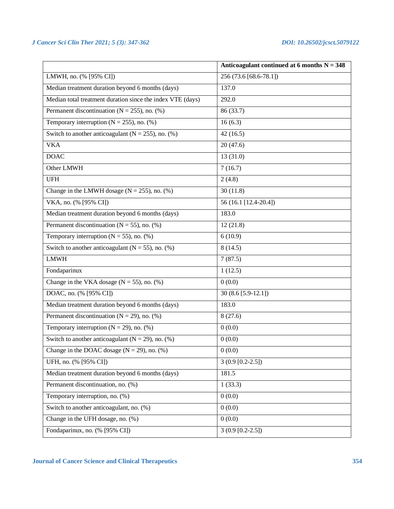|                                                            | Anticoagulant continued at 6 months $N = 348$ |
|------------------------------------------------------------|-----------------------------------------------|
| LMWH, no. (% [95% CI])                                     | 256 (73.6 [68.6-78.1])                        |
| Median treatment duration beyond 6 months (days)           | 137.0                                         |
| Median total treatment duration since the index VTE (days) | 292.0                                         |
| Permanent discontinuation ( $N = 255$ ), no. (%)           | 86 (33.7)                                     |
| Temporary interruption ( $N = 255$ ), no. (%)              | 16(6.3)                                       |
| Switch to another anticoagulant ( $N = 255$ ), no. (%)     | 42(16.5)                                      |
| <b>VKA</b>                                                 | 20(47.6)                                      |
| <b>DOAC</b>                                                | 13(31.0)                                      |
| Other LMWH                                                 | 7(16.7)                                       |
| <b>UFH</b>                                                 | 2(4.8)                                        |
| Change in the LMWH dosage ( $N = 255$ ), no. (%)           | 30(11.8)                                      |
| VKA, no. (% [95% CI])                                      | 56 (16.1 [12.4-20.4])                         |
| Median treatment duration beyond 6 months (days)           | 183.0                                         |
| Permanent discontinuation ( $N = 55$ ), no. (%)            | 12(21.8)                                      |
| Temporary interruption ( $N = 55$ ), no. (%)               | 6(10.9)                                       |
| Switch to another anticoagulant ( $N = 55$ ), no. (%)      | 8(14.5)                                       |
| <b>LMWH</b>                                                | 7(87.5)                                       |
| Fondaparinux                                               | 1(12.5)                                       |
| Change in the VKA dosage ( $N = 55$ ), no. (%)             | 0(0.0)                                        |
| DOAC, no. (% [95% CI])                                     | $30(8.6[5.9-12.1])$                           |
| Median treatment duration beyond 6 months (days)           | 183.0                                         |
| Permanent discontinuation ( $N = 29$ ), no. (%)            | 8(27.6)                                       |
| Temporary interruption ( $N = 29$ ), no. (%)               | 0(0.0)                                        |
| Switch to another anticoagulant ( $N = 29$ ), no. (%)      | 0(0.0)                                        |
| Change in the DOAC dosage ( $N = 29$ ), no. (%)            | 0(0.0)                                        |
| UFH, no. (% [95% CI])                                      | $3(0.9[0.2-2.5])$                             |
| Median treatment duration beyond 6 months (days)           | 181.5                                         |
| Permanent discontinuation, no. (%)                         | 1(33.3)                                       |
| Temporary interruption, no. (%)                            | 0(0.0)                                        |
| Switch to another anticoagulant, no. (%)                   | 0(0.0)                                        |
| Change in the UFH dosage, no. (%)                          | 0(0.0)                                        |
| Fondaparinux, no. (% [95% CI])                             | $3(0.9[0.2-2.5])$                             |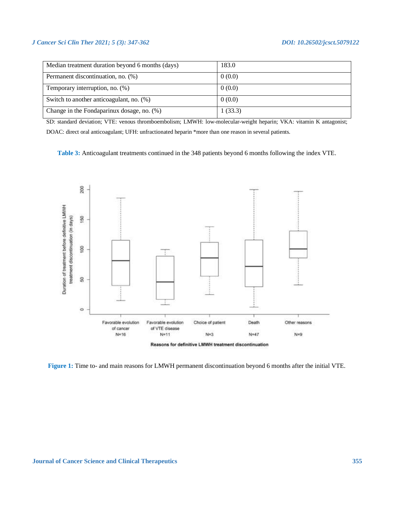| Median treatment duration beyond 6 months (days) | 183.0   |
|--------------------------------------------------|---------|
| Permanent discontinuation, no. (%)               | 0(0.0)  |
| Temporary interruption, no. $(\%)$               | 0(0.0)  |
| Switch to another anticoagulant, no. (%)         | 0(0.0)  |
| Change in the Fondaparinux dosage, no. (%)       | 1(33.3) |

SD: standard deviation; VTE: venous thromboembolism; LMWH: low-molecular-weight heparin; VKA: vitamin K antagonist; DOAC: direct oral anticoagulant; UFH: unfractionated heparin \*more than one reason in several patients.

**Table 3:** Anticoagulant treatments continued in the 348 patients beyond 6 months following the index VTE.



**Figure 1:** Time to- and main reasons for LMWH permanent discontinuation beyond 6 months after the initial VTE.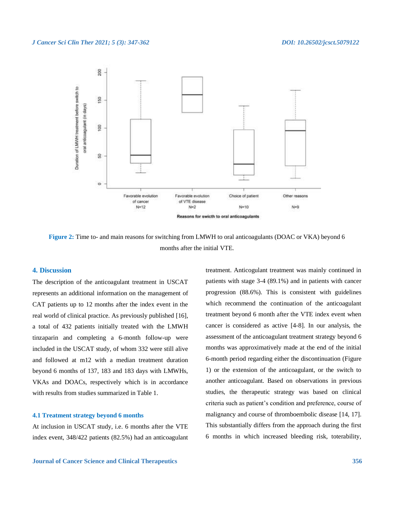

**Figure 2:** Time to- and main reasons for switching from LMWH to oral anticoagulants (DOAC or VKA) beyond 6 months after the initial VTE.

# **4. Discussion**

The description of the anticoagulant treatment in USCAT represents an additional information on the management of CAT patients up to 12 months after the index event in the real world of clinical practice. As previously published [16], a total of 432 patients initially treated with the LMWH tinzaparin and completing a 6-month follow-up were included in the USCAT study, of whom 332 were still alive and followed at m12 with a median treatment duration beyond 6 months of 137, 183 and 183 days with LMWHs, VKAs and DOACs, respectively which is in accordance with results from studies summarized in Table 1.

### **4.1 Treatment strategy beyond 6 months**

At inclusion in USCAT study, i.e. 6 months after the VTE index event, 348/422 patients (82.5%) had an anticoagulant

patients with stage 3-4 (89.1%) and in patients with cancer progression (88.6%). This is consistent with guidelines which recommend the continuation of the anticoagulant treatment beyond 6 month after the VTE index event when cancer is considered as active [4-8]. In our analysis, the assessment of the anticoagulant treatment strategy beyond 6 months was approximatively made at the end of the initial 6-month period regarding either the discontinuation (Figure 1) or the extension of the anticoagulant, or the switch to another anticoagulant. Based on observations in previous studies, the therapeutic strategy was based on clinical criteria such as patient's condition and preference, course of malignancy and course of thromboembolic disease [14, 17]. This substantially differs from the approach during the first 6 months in which increased bleeding risk, toterability,

treatment. Anticogulant treatment was mainly continued in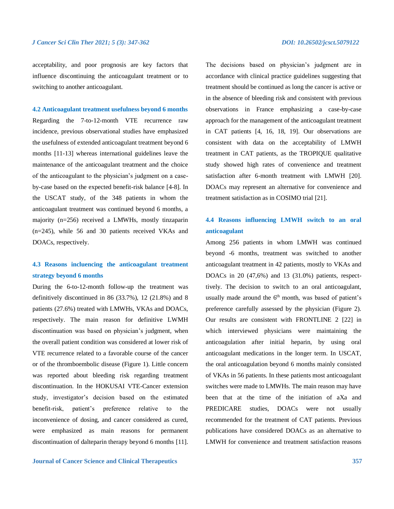acceptability, and poor prognosis are key factors that influence discontinuing the anticoagulant treatment or to switching to another anticoagulant.

**4.2 Anticoagulant treatment usefulness beyond 6 months**

Regarding the 7-to-12-month VTE recurrence raw incidence, previous observational studies have emphasized the usefulness of extended anticoagulant treatment beyond 6 months [11-13] whereas international guidelines leave the maintenance of the anticoagulant treatment and the choice of the anticoagulant to the physician's judgment on a caseby-case based on the expected benefit-risk balance [4-8]. In the USCAT study, of the 348 patients in whom the anticoagulant treatment was continued beyond 6 months, a majority (n=256) received a LMWHs, mostly tinzaparin (n=245), while 56 and 30 patients received VKAs and DOACs, respectively.

# **4.3 Reasons incluencing the anticoagulant treatment strategy beyond 6 months**

During the 6-to-12-month follow-up the treatment was definitively discontinued in 86 (33.7%), 12 (21.8%) and 8 patients (27.6%) treated with LMWHs, VKAs and DOACs, respectively. The main reason for definitive LWMH discontinuation was based on physician's judgment, when the overall patient condition was considered at lower risk of VTE recurrence related to a favorable course of the cancer or of the thromboembolic disease (Figure 1). Little concern was reported about bleeding risk regarding treatment discontinuation. In the HOKUSAI VTE-Cancer extension study, investigator's decision based on the estimated benefit-risk, patient's preference relative to the inconvenience of dosing, and cancer considered as cured, were emphasized as main reasons for permanent discontinuation of dalteparin therapy beyond 6 months [11].

**Journal of Cancer Science and Clinical Therapeutics 357**

The decisions based on physician's judgment are in accordance with clinical practice guidelines suggesting that treatment should be continued as long the cancer is active or in the absence of bleeding risk and consistent with previous observations in France emphasizing a case-by-case approach for the management of the anticoagulant treatment in CAT patients [4, 16, 18, 19]. Our observations are consistent with data on the acceptability of LMWH treatment in CAT patients, as the TROPIQUE qualitative study showed high rates of convenience and treatment satisfaction after 6-month treatment with LMWH [20]. DOACs may represent an alternative for convenience and treatment satisfaction as in COSIMO trial [21].

# **4.4 Reasons influencing LMWH switch to an oral anticoagulant**

Among 256 patients in whom LMWH was continued beyond -6 months, treatment was switched to another anticoagulant treatment in 42 patients, mostly to VKAs and DOACs in 20 (47,6%) and 13 (31.0%) patients, respecttively. The decision to switch to an oral anticoagulant, usually made around the  $6<sup>th</sup>$  month, was based of patient's preference carefully assessed by the physician (Figure 2). Our results are consistent with FRONTLINE 2 [22] in which interviewed physicians were maintaining the anticoagulation after initial heparin, by using oral anticoagulant medications in the longer term. In USCAT, the oral anticoagulation beyond 6 months mainly consisted of VKAs in 56 patients. In these patients most anticoagulant switches were made to LMWHs. The main reason may have been that at the time of the initiation of aXa and PREDICARE studies, DOACs were not usually recommended for the treatment of CAT patients. Previous publications have considered DOACs as an alternative to LMWH for convenience and treatment satisfaction reasons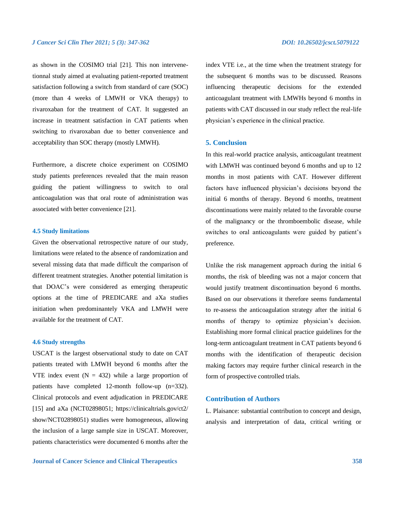as shown in the COSIMO trial [21]. This non intervenetionnal study aimed at evaluating patient-reported treatment satisfaction following a switch from standard of care (SOC) (more than 4 weeks of LMWH or VKA therapy) to rivaroxaban for the treatment of CAT. It suggested an increase in treatment satisfaction in CAT patients when switching to rivaroxaban due to better convenience and acceptability than SOC therapy (mostly LMWH).

Furthermore, a discrete choice experiment on COSIMO study patients preferences revealed that the main reason guiding the patient willingness to switch to oral anticoagulation was that oral route of administration was associated with better convenience [21].

# **4.5 Study limitations**

Given the observational retrospective nature of our study, limitations were related to the absence of randomization and several missing data that made difficult the comparison of different treatment strategies. Another potential limitation is that DOAC's were considered as emerging therapeutic options at the time of PREDICARE and aXa studies initiation when predominantely VKA and LMWH were available for the treatment of CAT.

### **4.6 Study strengths**

USCAT is the largest observational study to date on CAT patients treated with LMWH beyond 6 months after the VTE index event  $(N = 432)$  while a large proportion of patients have completed 12-month follow-up (n=332). Clinical protocols and event adjudication in PREDICARE [15] and aXa (NCT02898051; https://clinicaltrials.gov/ct2/ show/NCT02898051) studies were homogeneous, allowing the inclusion of a large sample size in USCAT. Moreover, patients characteristics were documented 6 months after the index VTE i.e., at the time when the treatment strategy for the subsequent 6 months was to be discussed. Reasons influencing therapeutic decisions for the extended anticoagulant treatment with LMWHs beyond 6 months in patients with CAT discussed in our study reflect the real-life physician's experience in the clinical practice.

## **5. Conclusion**

In this real-world practice analysis, anticoagulant treatment with LMWH was continued beyond 6 months and up to 12 months in most patients with CAT. However different factors have influenced physician's decisions beyond the initial 6 months of therapy. Beyond 6 months, treatment discontinuations were mainly related to the favorable course of the malignancy or the thromboembolic disease, while switches to oral anticoagulants were guided by patient's preference.

Unlike the risk management approach during the initial 6 months, the risk of bleeding was not a major concern that would justify treatment discontinuation beyond 6 months. Based on our observations it therefore seems fundamental to re-assess the anticoagulation strategy after the initial 6 months of therapy to optimize physician's decision. Establishing more formal clinical practice guidelines for the long-term anticoagulant treatment in CAT patients beyond 6 months with the identification of therapeutic decision making factors may require further clinical research in the form of prospective controlled trials.

# **Contribution of Authors**

L. Plaisance: substantial contribution to concept and design, analysis and interpretation of data, critical writing or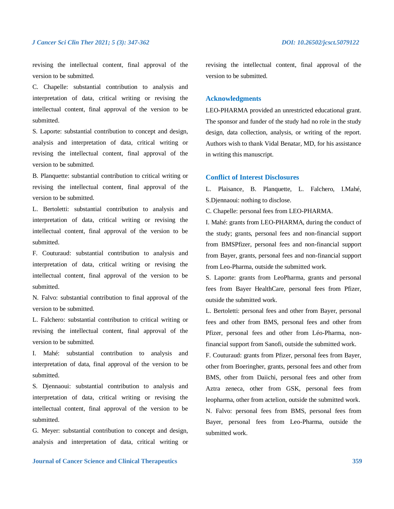revising the intellectual content, final approval of the version to be submitted.

C. Chapelle: substantial contribution to analysis and interpretation of data, critical writing or revising the intellectual content, final approval of the version to be submitted.

S. Laporte: substantial contribution to concept and design, analysis and interpretation of data, critical writing or revising the intellectual content, final approval of the version to be submitted.

B. Planquette: substantial contribution to critical writing or revising the intellectual content, final approval of the version to be submitted.

L. Bertoletti: substantial contribution to analysis and interpretation of data, critical writing or revising the intellectual content, final approval of the version to be submitted.

F. Couturaud: substantial contribution to analysis and interpretation of data, critical writing or revising the intellectual content, final approval of the version to be submitted.

N. Falvo: substantial contribution to final approval of the version to be submitted.

L. Falchero: substantial contribution to critical writing or revising the intellectual content, final approval of the version to be submitted.

I. Mahé: substantial contribution to analysis and interpretation of data, final approval of the version to be submitted.

S. Djennaoui: substantial contribution to analysis and interpretation of data, critical writing or revising the intellectual content, final approval of the version to be submitted.

G. Meyer: substantial contribution to concept and design, analysis and interpretation of data, critical writing or revising the intellectual content, final approval of the version to be submitted.

# **Acknowledgments**

LEO-PHARMA provided an unrestricted educational grant. The sponsor and funder of the study had no role in the study design, data collection, analysis, or writing of the report. Authors wish to thank Vidal Benatar, MD, for his assistance in writing this manuscript.

# **Conflict of Interest Disclosures**

L. Plaisance, B. Planquette, L. Falchero, I.Mahé, S.Djennaoui: nothing to disclose.

C. Chapelle: personal fees from LEO-PHARMA.

I. Mahé: grants from LEO-PHARMA, during the conduct of the study; grants, personal fees and non-financial support from BMSPfizer, personal fees and non-financial support from Bayer, grants, personal fees and non-financial support from Leo-Pharma, outside the submitted work.

S. Laporte: grants from LeoPharma, grants and personal fees from Bayer HealthCare, personal fees from Pfizer, outside the submitted work.

L. Bertoletti: personal fees and other from Bayer, personal fees and other from BMS, personal fees and other from Pfizer, personal fees and other from Léo-Pharma, nonfinancial support from Sanofi, outside the submitted work.

F. Couturaud: grants from Pfizer, personal fees from Bayer, other from Boeringher, grants, personal fees and other from BMS, other from Daiichi, personal fees and other from Aztra zeneca, other from GSK, personal fees from leopharma, other from actelion, outside the submitted work. N. Falvo: personal fees from BMS, personal fees from Bayer, personal fees from Leo-Pharma, outside the submitted work.

**Journal of Cancer Science and Clinical Therapeutics 359**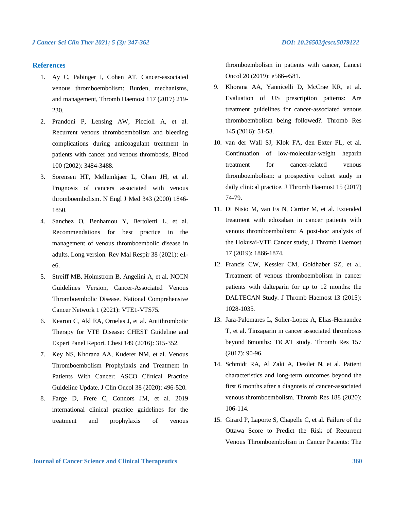# **References**

- 1. Ay C, Pabinger I, Cohen AT. Cancer-associated venous thromboembolism: Burden, mechanisms, and management, Thromb Haemost 117 (2017) 219- 230.
- 2. Prandoni P, Lensing AW, Piccioli A, et al. Recurrent venous thromboembolism and bleeding complications during anticoagulant treatment in patients with cancer and venous thrombosis, Blood 100 (2002): 3484-3488.
- 3. Sorensen HT, Mellemkjaer L, Olsen JH, et al. Prognosis of cancers associated with venous thromboembolism. N Engl J Med 343 (2000) 1846- 1850.
- 4. Sanchez O, Benhamou Y, Bertoletti L, et al. Recommendations for best practice in the management of venous thromboembolic disease in adults. Long version. Rev Mal Respir 38 (2021): e1 e6.
- 5. Streiff MB, Holmstrom B, Angelini A, et al. NCCN Guidelines Version, Cancer-Associated Venous Thromboembolic Disease. National Comprehensive Cancer Network 1 (2021): VTE1-VTS75.
- 6. Kearon C, Akl EA, Ornelas J, et al. Antithrombotic Therapy for VTE Disease: CHEST Guideline and Expert Panel Report. Chest 149 (2016): 315-352.
- 7. Key NS, Khorana AA, Kuderer NM, et al. Venous Thromboembolism Prophylaxis and Treatment in Patients With Cancer: ASCO Clinical Practice Guideline Update. J Clin Oncol 38 (2020): 496-520.
- 8. Farge D, Frere C, Connors JM, et al. 2019 international clinical practice guidelines for the treatment and prophylaxis of venous

thromboembolism in patients with cancer, Lancet Oncol 20 (2019): e566-e581.

- 9. Khorana AA, Yannicelli D, McCrae KR, et al. Evaluation of US prescription patterns: Are treatment guidelines for cancer-associated venous thromboembolism being followed?. Thromb Res 145 (2016): 51-53.
- 10. van der Wall SJ, Klok FA, den Exter PL, et al. Continuation of low-molecular-weight heparin treatment for cancer-related venous thromboembolism: a prospective cohort study in daily clinical practice. J Thromb Haemost 15 (2017) 74-79.
- 11. Di Nisio M, van Es N, Carrier M, et al. Extended treatment with edoxaban in cancer patients with venous thromboembolism: A post-hoc analysis of the Hokusai-VTE Cancer study, J Thromb Haemost 17 (2019): 1866-1874.
- 12. Francis CW, Kessler CM, Goldhaber SZ, et al. Treatment of venous thromboembolism in cancer patients with dalteparin for up to 12 months: the DALTECAN Study. J Thromb Haemost 13 (2015): 1028-1035.
- 13. Jara-Palomares L, Solier-Lopez A, Elias-Hernandez T, et al. Tinzaparin in cancer associated thrombosis beyond 6months: TiCAT study. Thromb Res 157 (2017): 90-96.
- 14. Schmidt RA, Al Zaki A, Desilet N, et al. Patient characteristics and long-term outcomes beyond the first 6 months after a diagnosis of cancer-associated venous thromboembolism. Thromb Res 188 (2020): 106-114.
- 15. Girard P, Laporte S, Chapelle C, et al. Failure of the Ottawa Score to Predict the Risk of Recurrent Venous Thromboembolism in Cancer Patients: The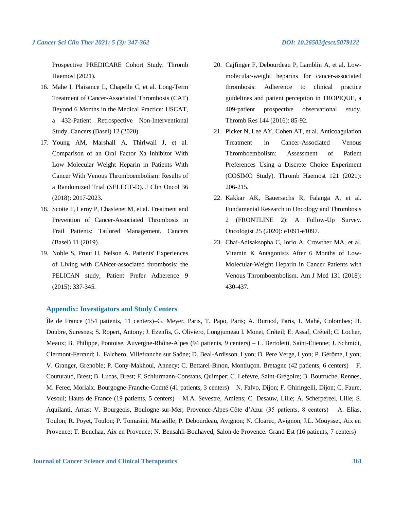Prospective PREDICARE Cohort Study. Thromb Haemost (2021).

- 16. Mahe I, Plaisance L, Chapelle C, et al. Long-Term Treatment of Cancer-Associated Thrombosis (CAT) Beyond 6 Months in the Medical Practice: USCAT, a 432-Patient Retrospective Non-Interventional Study. Cancers (Basel) 12 (2020).
- 17. Young AM, Marshall A, Thirlwall J, et al. Comparison of an Oral Factor Xa Inhibitor With Low Molecular Weight Heparin in Patients With Cancer With Venous Thromboembolism: Results of a Randomized Trial (SELECT-D). J Clin Oncol 36 (2018): 2017-2023.
- 18. Scotte F, Leroy P, Chastenet M, et al. Treatment and Prevention of Cancer-Associated Thrombosis in Frail Patients: Tailored Management. Cancers (Basel) 11 (2019).
- 19. Noble S, Prout H, Nelson A. Patients' Experiences of LIving with CANcer-associated thrombosis: the PELICAN study, Patient Prefer Adherence 9 (2015): 337-345.
- 20. Cajfinger F, Debourdeau P, Lamblin A, et al. Lowmolecular-weight heparins for cancer-associated thrombosis: Adherence to clinical practice guidelines and patient perception in TROPIQUE, a 409-patient prospective observational study. Thromb Res 144 (2016): 85-92.
- 21. Picker N, Lee AY, Cohen AT, et al. Anticoagulation Treatment in Cancer-Associated Venous Thromboembolism: Assessment of Patient Preferences Using a Discrete Choice Experiment (COSIMO Study). Thromb Haemost 121 (2021): 206-215.
- 22. Kakkar AK, Bauersachs R, Falanga A, et al. Fundamental Research in Oncology and Thrombosis 2 (FRONTLINE 2): A Follow-Up Survey. Oncologist 25 (2020): e1091-e1097.
- 23. Chai-Adisaksopha C, Iorio A, Crowther MA, et al. Vitamin K Antagonists After 6 Months of Low-Molecular-Weight Heparin in Cancer Patients with Venous Thromboembolism. Am J Med 131 (2018): 430-437.

# **Appendix: Investigators and Study Centers**

Île de France (154 patients, 11 centers)–G. Meyer, Paris, T. Papo, Paris; A. Burnod, Paris, I. Mahé, Colombes; H. Doubre, Suresnes; S. Ropert, Antony; J. Ezenfis, G. Oliviero, Longjumeau I. Monet, Créteil; E. Assaf, Créteil; C. Locher, Meaux; B. Philippe, Pontoise. Auvergne-Rhône-Alpes (94 patients, 9 centers) – L. Bertoletti, Saint-Étienne; J. Schmidt, Clermont-Ferrand; L. Falchero, Villefranche sur Saône; D. Beal-Ardisson, Lyon; D. Pere Verge, Lyon; P. Gérôme, Lyon; V. Granger, Grenoble; P. Cony-Makhoul, Annecy; C. Bettarel-Binon, Montluçon. Bretagne (42 patients, 6 centers) – F. Couturaud, Brest; B. Lucas, Brest; F. Schlurmann-Constans, Quimper; C. Lefevre, Saint-Grégoire; B. Boutruche, Rennes, M. Ferec, Morlaix. Bourgogne-Franche-Comté (41 patients, 3 centers) – N. Falvo, Dijon; F. Ghiringelli, Dijon; C. Faure, Vesoul; Hauts de France (19 patients, 5 centers) – M.A. Sevestre, Amiens; C. Desauw, Lille; A. Scherpereel, Lille; S. Aquilanti, Arras; V. Bourgeois, Boulogne-sur-Mer; Provence-Alpes-Côte d'Azur (35 patients, 8 centers) – A. Elias, Toulon; R. Poyet, Toulon; P. Tomasini, Marseille; P. Debourdeau, Avignon; N. Cloarec, Avignon; J.L. Mouysset, Aix en Provence; T. Benchaa, Aix en Provence; N. Bensahli-Bouhayed, Salon de Provence. Grand Est (16 patients, 7 centers) –